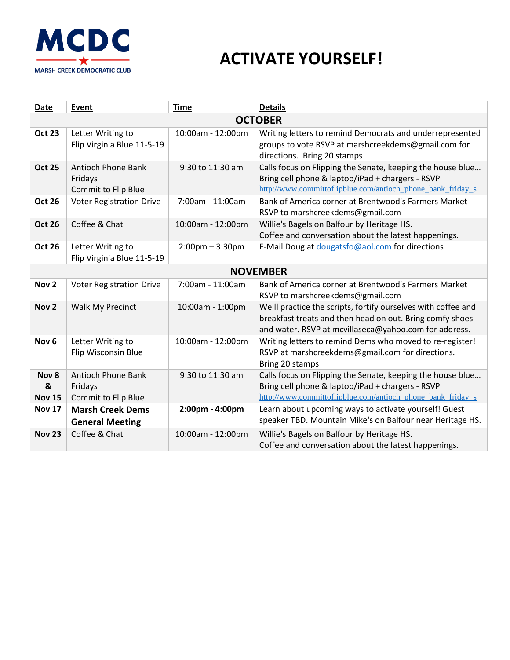

## **ACTIVATE YOURSELF!**

| Date                        | Event                                                              | <b>Time</b>                       | <b>Details</b>                                                                                                                                                                     |
|-----------------------------|--------------------------------------------------------------------|-----------------------------------|------------------------------------------------------------------------------------------------------------------------------------------------------------------------------------|
| <b>OCTOBER</b>              |                                                                    |                                   |                                                                                                                                                                                    |
| <b>Oct 23</b>               | Letter Writing to<br>Flip Virginia Blue 11-5-19                    | 10:00am - 12:00pm                 | Writing letters to remind Democrats and underrepresented<br>groups to vote RSVP at marshcreekdems@gmail.com for<br>directions. Bring 20 stamps                                     |
| <b>Oct 25</b>               | <b>Antioch Phone Bank</b><br>Fridays<br><b>Commit to Flip Blue</b> | 9:30 to 11:30 am                  | Calls focus on Flipping the Senate, keeping the house blue<br>Bring cell phone & laptop/iPad + chargers - RSVP<br>http://www.committoflipblue.com/antioch_phone_bank_friday_s      |
| <b>Oct 26</b>               | <b>Voter Registration Drive</b>                                    | 7:00am - 11:00am                  | Bank of America corner at Brentwood's Farmers Market<br>RSVP to marshcreekdems@gmail.com                                                                                           |
| <b>Oct 26</b>               | Coffee & Chat                                                      | 10:00am - 12:00pm                 | Willie's Bagels on Balfour by Heritage HS.<br>Coffee and conversation about the latest happenings.                                                                                 |
| <b>Oct 26</b>               | Letter Writing to<br>Flip Virginia Blue 11-5-19                    | $2:00 \text{pm} - 3:30 \text{pm}$ | E-Mail Doug at dougatsfo@aol.com for directions                                                                                                                                    |
| <b>NOVEMBER</b>             |                                                                    |                                   |                                                                                                                                                                                    |
| Nov <sub>2</sub>            | <b>Voter Registration Drive</b>                                    | 7:00am - 11:00am                  | Bank of America corner at Brentwood's Farmers Market<br>RSVP to marshcreekdems@gmail.com                                                                                           |
| Nov <sub>2</sub>            | Walk My Precinct                                                   | 10:00am - 1:00pm                  | We'll practice the scripts, fortify ourselves with coffee and<br>breakfast treats and then head on out. Bring comfy shoes<br>and water. RSVP at mcvillaseca@yahoo.com for address. |
| Nov <sub>6</sub>            | Letter Writing to<br>Flip Wisconsin Blue                           | 10:00am - 12:00pm                 | Writing letters to remind Dems who moved to re-register!<br>RSVP at marshcreekdems@gmail.com for directions.<br>Bring 20 stamps                                                    |
| Nov 8<br>&<br><b>Nov 15</b> | <b>Antioch Phone Bank</b><br>Fridays<br>Commit to Flip Blue        | 9:30 to 11:30 am                  | Calls focus on Flipping the Senate, keeping the house blue<br>Bring cell phone & laptop/iPad + chargers - RSVP<br>http://www.committoflipblue.com/antioch phone bank friday s      |
| <b>Nov 17</b>               | <b>Marsh Creek Dems</b><br><b>General Meeting</b>                  | 2:00pm - 4:00pm                   | Learn about upcoming ways to activate yourself! Guest<br>speaker TBD. Mountain Mike's on Balfour near Heritage HS.                                                                 |
| <b>Nov 23</b>               | Coffee & Chat                                                      | 10:00am - 12:00pm                 | Willie's Bagels on Balfour by Heritage HS.<br>Coffee and conversation about the latest happenings.                                                                                 |